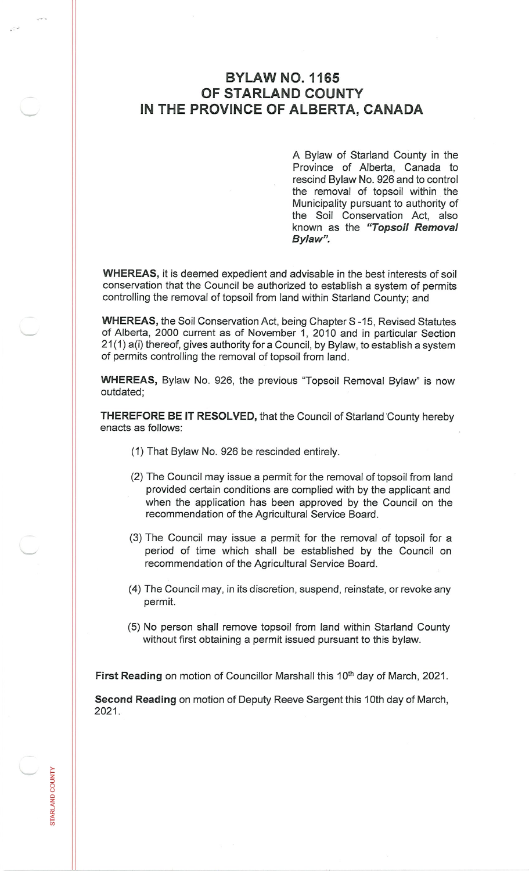## **BYLAW NO. 1165 OF STARLAND COUNTY IN THE PROVINCE OF ALBERTA, CANADA**

A Bylaw of Starland County in the Province of Alberta, Canada to rescind Bylaw No. 926 and to control the removal of topsoil within the Municipality pursuant to authority of the Soil Conservation Act, also known as the *"Topsoil Removal Bylaw".*

**WHEREAS,** it is deemed expedient and advisable in the best interests of soil conservation that the Council be authorized to establish <sup>a</sup> system of permits controlling the removal of topsoil from land within Starland County; and

**WHEREAS,** the Soil Conservation Act, being Chapter S -15, Revised Statutes of Alberta, 2000 current as of November <sup>1</sup>, 2010 and in particular Section <sup>21</sup>(1) <sup>a</sup>(i) thereof, gives authority for <sup>a</sup> Council, by Bylaw, to establish <sup>a</sup> system of permits controlling the removal of topsoil from land.

**WHEREAS,** Bylaw No. <sup>926</sup>, the previous "Topsoil Removal Bylaw" is now outdated;

**THEREFORE BE IT RESOLVED,** that the Council of Starland County hereby enacts as follows:

- (1) That Bylaw No. 926 be rescinded entirely.
- (2) The Council may issue <sup>a</sup> permit for the removal of topsoil from land provided certain conditions are complied with by the applicant and when the application has been approved by the Council on the recommendation of the Agricultural Service Board.
- (3) The Council may issue <sup>a</sup> permit for the removal of topsoil for <sup>a</sup> period of time which shall be established by the Council on recommendation of the Agricultural Service Board.
- (4) The Council may, in its discretion, suspend, reinstate, or revoke any permit.
- (5) No person shall remove topsoil from land within Starland County without first obtaining <sup>a</sup> permit issued pursuant to this bylaw.

First Reading on motion of Councillor Marshall this 10<sup>th</sup> day of March, 2021.

**Second Reading** on motion of Deputy Reeve Sargent this 10th day of March, 2021**.**

; § O

**i**